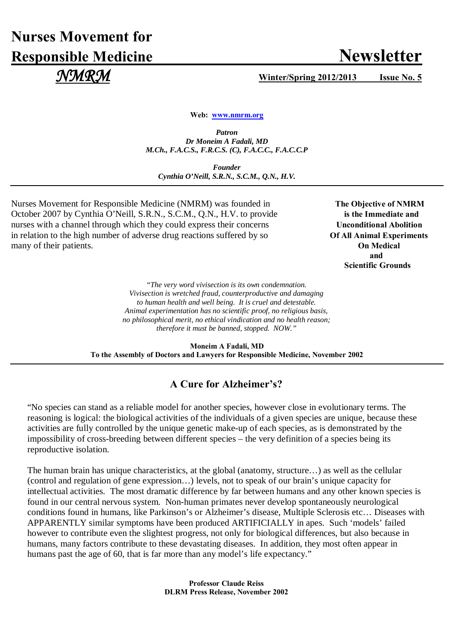# **Nurses Movement for Responsible Medicine Newsletter**

 *NMRM* **Winter/Spring 2012/2013 Issue No. 5**

**Web: [www.nmrm.org](http://www.nmrm.org/)**

*Patron Dr Moneim A Fadali, MD M.Ch., F.A.C.S., F.R.C.S. (C), F.A.C.C., F.A.C.C.P*

*Founder Cynthia O'Neill, S.R.N., S.C.M., Q.N., H.V.*

Nurses Movement for Responsible Medicine (NMRM) was founded in The Objective of NMRM October 2007 by Cynthia O'Neill, S.R.N., S.C.M., Q.N., H.V. to provide **is the Immediate and** nurses with a channel through which they could express their concerns Unconditional Abolition in relation to the high number of adverse drug reactions suffered by so **Of All Animal Experiments** many of their patients. **On Medical**

 **and**  **Scientific Grounds**

> *"The very word vivisection is its own condemnation. Vivisection is wretched fraud, counterproductive and damaging to human health and well being. It is cruel and detestable. Animal experimentation has no scientific proof, no religious basis, no philosophical merit, no ethical vindication and no health reason; therefore it must be banned, stopped. NOW."*

**Moneim A Fadali, MD To the Assembly of Doctors and Lawyers for Responsible Medicine, November 2002**

## **A Cure for Alzheimer's?**

"No species can stand as a reliable model for another species, however close in evolutionary terms. The reasoning is logical: the biological activities of the individuals of a given species are unique, because these activities are fully controlled by the unique genetic make-up of each species, as is demonstrated by the impossibility of cross-breeding between different species – the very definition of a species being its reproductive isolation.

The human brain has unique characteristics, at the global (anatomy, structure…) as well as the cellular (control and regulation of gene expression…) levels, not to speak of our brain's unique capacity for intellectual activities. The most dramatic difference by far between humans and any other known species is found in our central nervous system. Non-human primates never develop spontaneously neurological conditions found in humans, like Parkinson's or Alzheimer's disease, Multiple Sclerosis etc… Diseases with APPARENTLY similar symptoms have been produced ARTIFICIALLY in apes. Such 'models' failed however to contribute even the slightest progress, not only for biological differences, but also because in humans, many factors contribute to these devastating diseases. In addition, they most often appear in humans past the age of 60, that is far more than any model's life expectancy."

> **Professor Claude Reiss DLRM Press Release, November 2002**